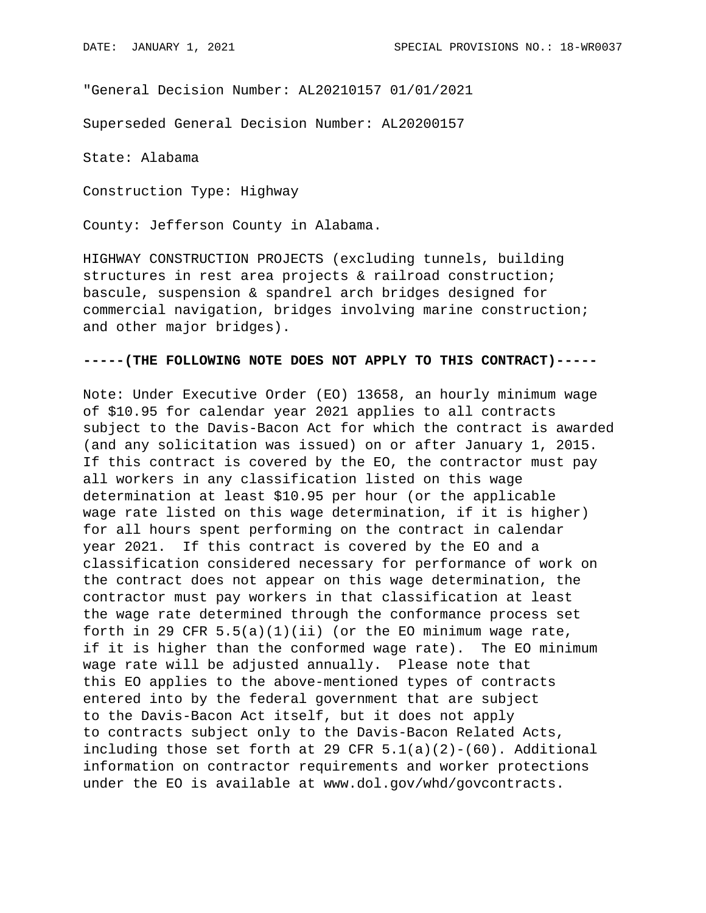"General Decision Number: AL20210157 01/01/2021

Superseded General Decision Number: AL20200157

State: Alabama

Construction Type: Highway

County: Jefferson County in Alabama.

HIGHWAY CONSTRUCTION PROJECTS (excluding tunnels, building structures in rest area projects & railroad construction; bascule, suspension & spandrel arch bridges designed for commercial navigation, bridges involving marine construction; and other major bridges).

## **-----(THE FOLLOWING NOTE DOES NOT APPLY TO THIS CONTRACT)-----**

Note: Under Executive Order (EO) 13658, an hourly minimum wage of \$10.95 for calendar year 2021 applies to all contracts subject to the Davis-Bacon Act for which the contract is awarded (and any solicitation was issued) on or after January 1, 2015. If this contract is covered by the EO, the contractor must pay all workers in any classification listed on this wage determination at least \$10.95 per hour (or the applicable wage rate listed on this wage determination, if it is higher) for all hours spent performing on the contract in calendar year 2021. If this contract is covered by the EO and a classification considered necessary for performance of work on the contract does not appear on this wage determination, the contractor must pay workers in that classification at least the wage rate determined through the conformance process set forth in 29 CFR  $5.5(a)(1)(ii)$  (or the EO minimum wage rate, if it is higher than the conformed wage rate). The EO minimum wage rate will be adjusted annually. Please note that this EO applies to the above-mentioned types of contracts entered into by the federal government that are subject to the Davis-Bacon Act itself, but it does not apply to contracts subject only to the Davis-Bacon Related Acts, including those set forth at 29 CFR  $5.1(a)(2)-(60)$ . Additional information on contractor requirements and worker protections under the EO is available at www.dol.gov/whd/govcontracts.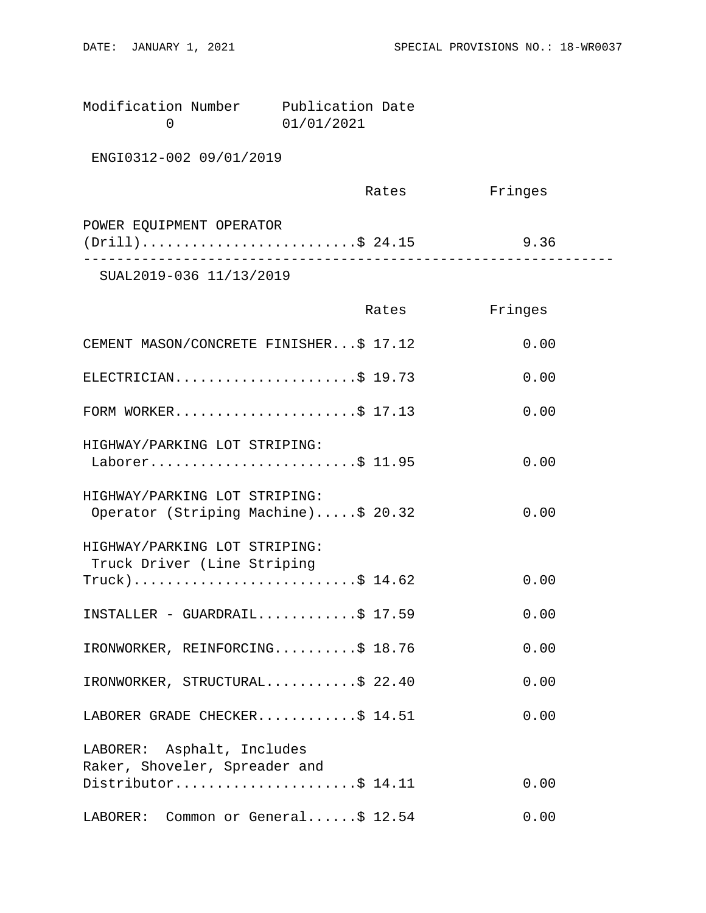| Modification Number | Publication Date |  |
|---------------------|------------------|--|
|                     | 01/01/2021       |  |

ENGI0312-002 09/01/2019

|                          | Rates | Fringes |  |
|--------------------------|-------|---------|--|
| POWER EQUIPMENT OPERATOR |       |         |  |
| $(Drill)$ \$ 24.15       |       | 9.36    |  |
| 7777700100077711000010   |       |         |  |

SUAL2019-036 11/13/2019

|                                                                      | Rates | Fringes |
|----------------------------------------------------------------------|-------|---------|
| CEMENT MASON/CONCRETE FINISHER\$ 17.12                               |       | 0.00    |
| ELECTRICIAN\$ 19.73                                                  |       | 0.00    |
| FORM WORKER\$ 17.13                                                  |       | 0.00    |
| HIGHWAY/PARKING LOT STRIPING:<br>Laborer\$ 11.95                     |       | 0.00    |
| HIGHWAY/PARKING LOT STRIPING:<br>Operator (Striping Machine)\$ 20.32 |       | 0.00    |
| HIGHWAY/PARKING LOT STRIPING:<br>Truck Driver (Line Striping         |       |         |
| $True k)$ \$ 14.62                                                   |       | 0.00    |
| INSTALLER - GUARDRAIL\$ $17.59$                                      |       | 0.00    |
| IRONWORKER, REINFORCING\$ 18.76                                      |       | 0.00    |
| IRONWORKER, STRUCTURAL\$ 22.40                                       |       | 0.00    |
| LABORER GRADE CHECKER\$ 14.51                                        |       | 0.00    |
| LABORER: Asphalt, Includes                                           |       |         |
| Raker, Shoveler, Spreader and<br>Distributor\$ 14.11                 |       | 0.00    |
| LABORER: Common or General\$ 12.54                                   |       | 0.00    |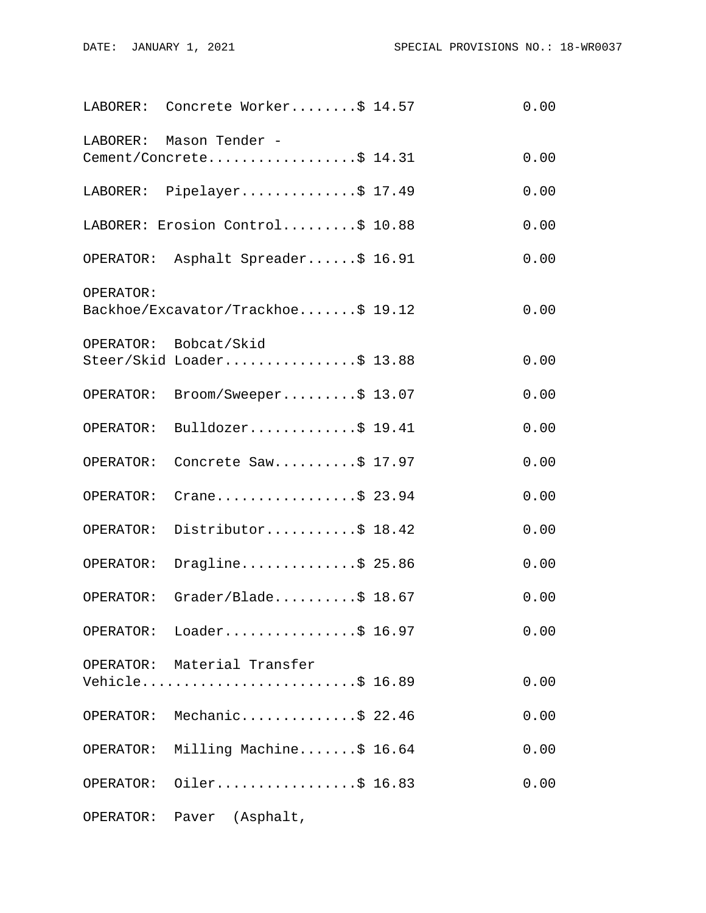|           | LABORER: Concrete Worker\$ 14.57                   | 0.00 |
|-----------|----------------------------------------------------|------|
| LABORER:  | Mason Tender -<br>Cement/Concrete\$ 14.31          | 0.00 |
|           | LABORER: Pipelayer\$ 17.49                         | 0.00 |
|           | LABORER: Erosion Control\$ 10.88                   | 0.00 |
|           | OPERATOR: Asphalt Spreader\$ 16.91                 | 0.00 |
| OPERATOR: | Backhoe/Excavator/Trackhoe\$ 19.12                 | 0.00 |
|           | OPERATOR: Bobcat/Skid<br>Steer/Skid Loader\$ 13.88 | 0.00 |
| OPERATOR: | Broom/Sweeper\$ 13.07                              | 0.00 |
| OPERATOR: | Bulldozer\$ 19.41                                  | 0.00 |
| OPERATOR: | Concrete Saw\$ 17.97                               | 0.00 |
| OPERATOR: | Crane\$ 23.94                                      | 0.00 |
| OPERATOR: | Distributor\$ 18.42                                | 0.00 |
| OPERATOR: | Dragline\$ 25.86                                   | 0.00 |
| OPERATOR: | Grader/Blade $$18.67$                              | 0.00 |
|           | OPERATOR: Loader\$ 16.97                           | 0.00 |
|           | OPERATOR: Material Transfer<br>Vehicle\$ 16.89     | 0.00 |
|           | OPERATOR: Mechanic\$ 22.46                         | 0.00 |
|           | OPERATOR: Milling Machine\$ 16.64                  | 0.00 |
| OPERATOR: | Oiler\$ 16.83                                      | 0.00 |
|           | OPERATOR: Paver (Asphalt,                          |      |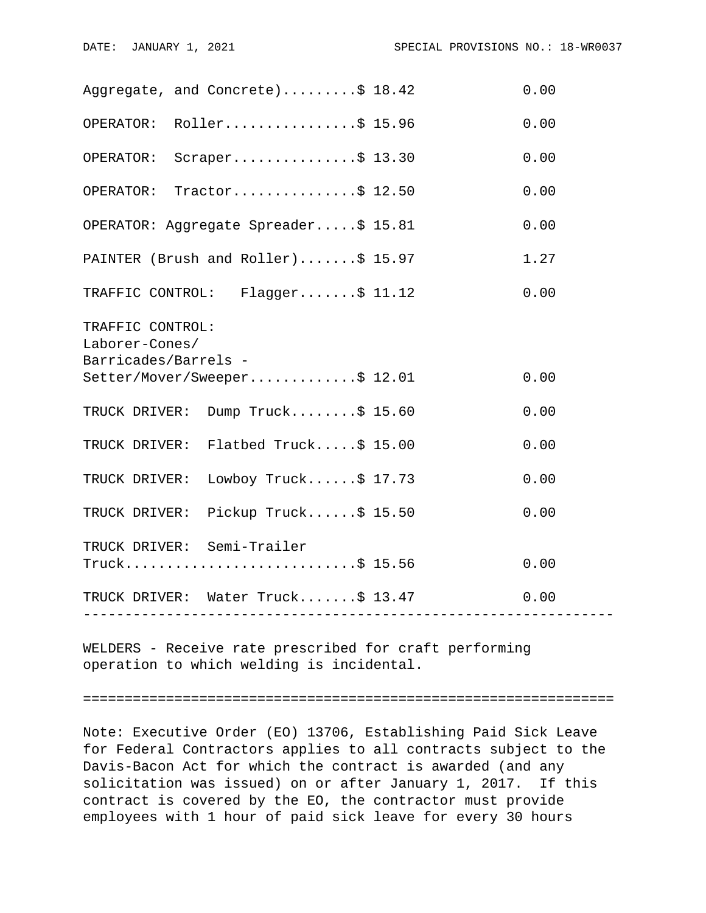| Aggregate, and Concrete)\$ 18.42                                           | 0.00 |
|----------------------------------------------------------------------------|------|
| OPERATOR: Roller\$ 15.96                                                   | 0.00 |
| Scraper\$ 13.30<br>OPERATOR:                                               | 0.00 |
| OPERATOR: Tractor\$ 12.50                                                  | 0.00 |
| OPERATOR: Aggregate Spreader\$ 15.81                                       | 0.00 |
| PAINTER (Brush and Roller)\$ 15.97                                         | 1.27 |
| TRAFFIC CONTROL: Flagger\$ 11.12                                           | 0.00 |
| TRAFFIC CONTROL:<br>Laborer-Cones/<br>Barricades/Barrels -                 |      |
| Setter/Mover/Sweeper\$ 12.01                                               | 0.00 |
| TRUCK DRIVER: Dump Truck\$ 15.60                                           | 0.00 |
| TRUCK DRIVER: Flatbed Truck\$ 15.00                                        | 0.00 |
| TRUCK DRIVER: Lowboy Truck\$ 17.73                                         | 0.00 |
| TRUCK DRIVER: Pickup Truck\$ 15.50                                         | 0.00 |
| TRUCK DRIVER: Semi-Trailer<br>Truck\$ 15.56                                | 0.00 |
| TRUCK DRIVER: Water Truck\$ 13.47<br>_____________________________________ | 0.00 |
|                                                                            |      |

WELDERS - Receive rate prescribed for craft performing operation to which welding is incidental.

================================================================

Note: Executive Order (EO) 13706, Establishing Paid Sick Leave for Federal Contractors applies to all contracts subject to the Davis-Bacon Act for which the contract is awarded (and any solicitation was issued) on or after January 1, 2017. If this contract is covered by the EO, the contractor must provide employees with 1 hour of paid sick leave for every 30 hours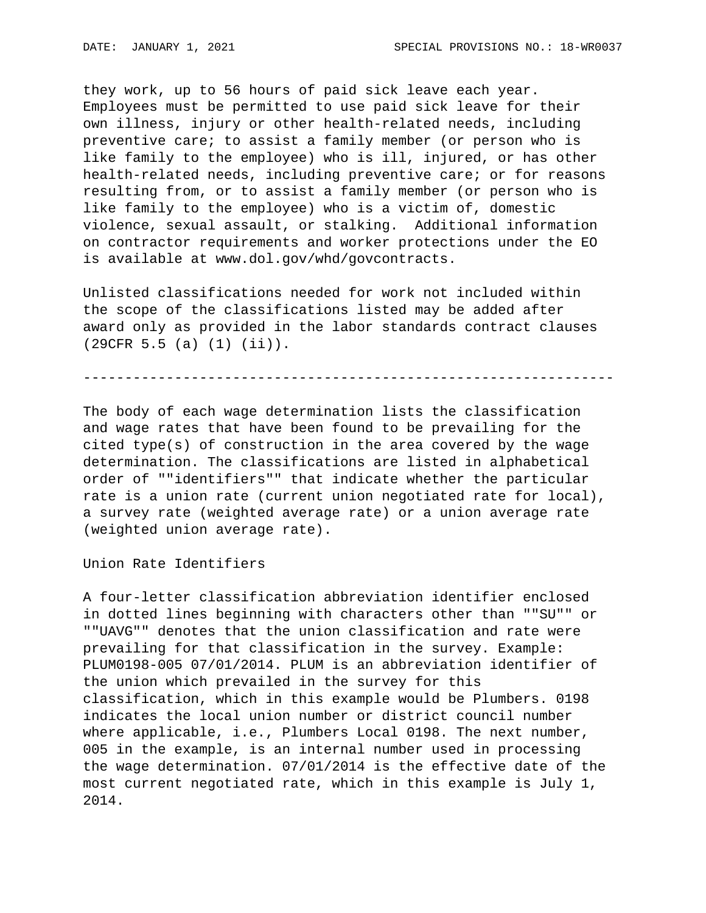they work, up to 56 hours of paid sick leave each year. Employees must be permitted to use paid sick leave for their own illness, injury or other health-related needs, including preventive care; to assist a family member (or person who is like family to the employee) who is ill, injured, or has other health-related needs, including preventive care; or for reasons resulting from, or to assist a family member (or person who is like family to the employee) who is a victim of, domestic violence, sexual assault, or stalking. Additional information on contractor requirements and worker protections under the EO is available at www.dol.gov/whd/govcontracts.

Unlisted classifications needed for work not included within the scope of the classifications listed may be added after award only as provided in the labor standards contract clauses (29CFR 5.5 (a) (1) (ii)).

----------------------------------------------------------------

The body of each wage determination lists the classification and wage rates that have been found to be prevailing for the cited type(s) of construction in the area covered by the wage determination. The classifications are listed in alphabetical order of ""identifiers"" that indicate whether the particular rate is a union rate (current union negotiated rate for local), a survey rate (weighted average rate) or a union average rate (weighted union average rate).

Union Rate Identifiers

A four-letter classification abbreviation identifier enclosed in dotted lines beginning with characters other than ""SU"" or ""UAVG"" denotes that the union classification and rate were prevailing for that classification in the survey. Example: PLUM0198-005 07/01/2014. PLUM is an abbreviation identifier of the union which prevailed in the survey for this classification, which in this example would be Plumbers. 0198 indicates the local union number or district council number where applicable, i.e., Plumbers Local 0198. The next number, 005 in the example, is an internal number used in processing the wage determination. 07/01/2014 is the effective date of the most current negotiated rate, which in this example is July 1, 2014.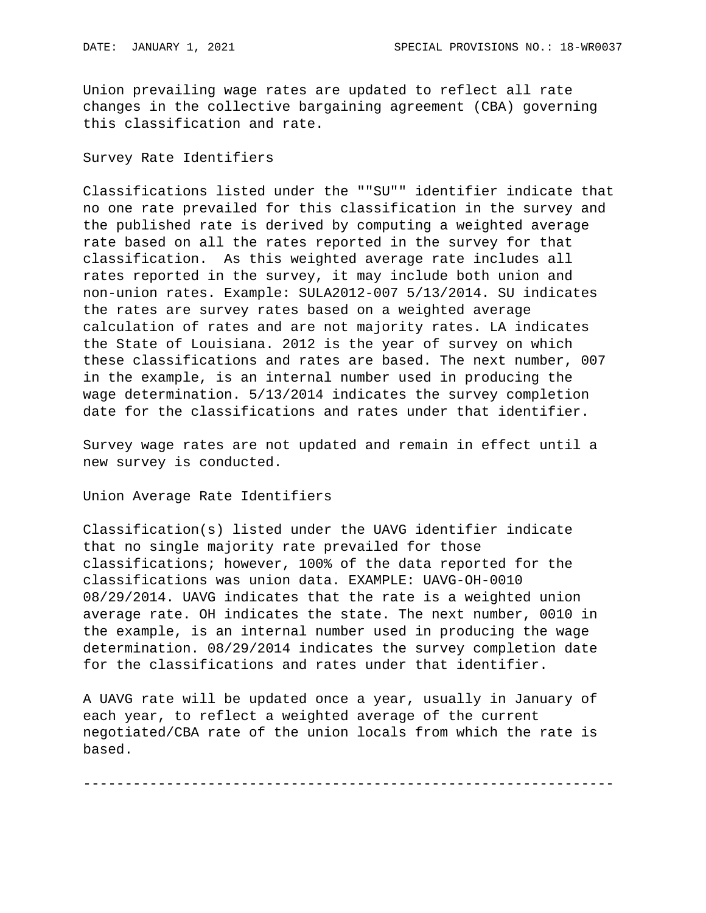Union prevailing wage rates are updated to reflect all rate changes in the collective bargaining agreement (CBA) governing this classification and rate.

## Survey Rate Identifiers

Classifications listed under the ""SU"" identifier indicate that no one rate prevailed for this classification in the survey and the published rate is derived by computing a weighted average rate based on all the rates reported in the survey for that classification. As this weighted average rate includes all rates reported in the survey, it may include both union and non-union rates. Example: SULA2012-007 5/13/2014. SU indicates the rates are survey rates based on a weighted average calculation of rates and are not majority rates. LA indicates the State of Louisiana. 2012 is the year of survey on which these classifications and rates are based. The next number, 007 in the example, is an internal number used in producing the wage determination. 5/13/2014 indicates the survey completion date for the classifications and rates under that identifier.

Survey wage rates are not updated and remain in effect until a new survey is conducted.

Union Average Rate Identifiers

Classification(s) listed under the UAVG identifier indicate that no single majority rate prevailed for those classifications; however, 100% of the data reported for the classifications was union data. EXAMPLE: UAVG-OH-0010 08/29/2014. UAVG indicates that the rate is a weighted union average rate. OH indicates the state. The next number, 0010 in the example, is an internal number used in producing the wage determination. 08/29/2014 indicates the survey completion date for the classifications and rates under that identifier.

A UAVG rate will be updated once a year, usually in January of each year, to reflect a weighted average of the current negotiated/CBA rate of the union locals from which the rate is based.

----------------------------------------------------------------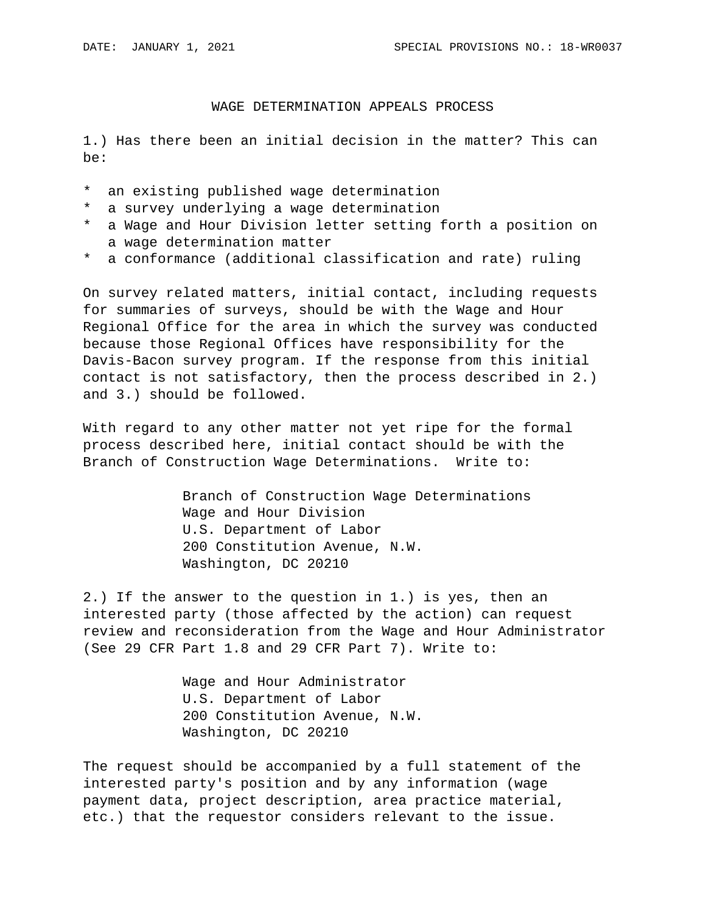## WAGE DETERMINATION APPEALS PROCESS

1.) Has there been an initial decision in the matter? This can be:

- \* an existing published wage determination
- \* a survey underlying a wage determination
- \* a Wage and Hour Division letter setting forth a position on a wage determination matter
- \* a conformance (additional classification and rate) ruling

On survey related matters, initial contact, including requests for summaries of surveys, should be with the Wage and Hour Regional Office for the area in which the survey was conducted because those Regional Offices have responsibility for the Davis-Bacon survey program. If the response from this initial contact is not satisfactory, then the process described in 2.) and 3.) should be followed.

With regard to any other matter not yet ripe for the formal process described here, initial contact should be with the Branch of Construction Wage Determinations. Write to:

> Branch of Construction Wage Determinations Wage and Hour Division U.S. Department of Labor 200 Constitution Avenue, N.W. Washington, DC 20210

2.) If the answer to the question in 1.) is yes, then an interested party (those affected by the action) can request review and reconsideration from the Wage and Hour Administrator (See 29 CFR Part 1.8 and 29 CFR Part 7). Write to:

> Wage and Hour Administrator U.S. Department of Labor 200 Constitution Avenue, N.W. Washington, DC 20210

The request should be accompanied by a full statement of the interested party's position and by any information (wage payment data, project description, area practice material, etc.) that the requestor considers relevant to the issue.